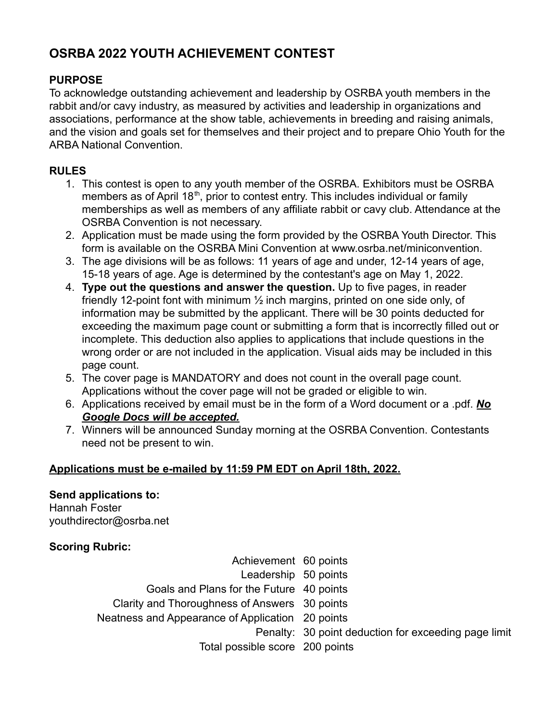# **OSRBA 2022 YOUTH ACHIEVEMENT CONTEST**

#### **PURPOSE**

To acknowledge outstanding achievement and leadership by OSRBA youth members in the rabbit and/or cavy industry, as measured by activities and leadership in organizations and associations, performance at the show table, achievements in breeding and raising animals, and the vision and goals set for themselves and their project and to prepare Ohio Youth for the ARBA National Convention.

### **RULES**

- 1. This contest is open to any youth member of the OSRBA. Exhibitors must be OSRBA members as of April 18<sup>th</sup>, prior to contest entry. This includes individual or family memberships as well as members of any affiliate rabbit or cavy club. Attendance at the OSRBA Convention is not necessary.
- 2. Application must be made using the form provided by the OSRBA Youth Director. This form is available on the OSRBA Mini Convention at www.osrba.net/miniconvention.
- 3. The age divisions will be as follows: 11 years of age and under, 12-14 years of age, 15-18 years of age. Age is determined by the contestant's age on May 1, 2022.
- 4. **Type out the questions and answer the question.** Up to five pages, in reader friendly 12-point font with minimum ½ inch margins, printed on one side only, of information may be submitted by the applicant. There will be 30 points deducted for exceeding the maximum page count or submitting a form that is incorrectly filled out or incomplete. This deduction also applies to applications that include questions in the wrong order or are not included in the application. Visual aids may be included in this page count.
- 5. The cover page is MANDATORY and does not count in the overall page count. Applications without the cover page will not be graded or eligible to win.
- 6. Applications received by email must be in the form of a Word document or a .pdf. *No Google Docs will be accepted.*
- 7. Winners will be announced Sunday morning at the OSRBA Convention. Contestants need not be present to win.

#### **Applications must be e-mailed by 11:59 PM EDT on April 18th, 2022.**

#### **Send applications to:**

Hannah Foster youthdirector@osrba.net

#### **Scoring Rubric:**

Achievement 60 points Leadership 50 points Goals and Plans for the Future 40 points Clarity and Thoroughness of Answers 30 points Neatness and Appearance of Application 20 points Penalty: 30 point deduction for exceeding page limit Total possible score 200 points